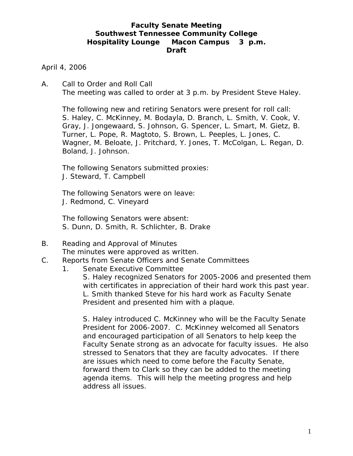# **Faculty Senate Meeting Southwest Tennessee Community College Hospitality Lounge Macon Campus 3 p.m. Draft**

April 4, 2006

A. Call to Order and Roll Call The meeting was called to order at 3 p.m. by President Steve Haley.

 The following new and retiring Senators were present for roll call: S. Haley, C. McKinney, M. Bodayla, D. Branch, L. Smith, V. Cook, V. Gray, J. Jongewaard, S. Johnson, G. Spencer, L. Smart, M. Gietz, B. Turner, L. Pope, R. Magtoto, S. Brown, L. Peeples, L. Jones, C. Wagner, M. Beloate, J. Pritchard, Y. Jones, T. McColgan, L. Regan, D. Boland, J. Johnson.

The following Senators submitted proxies: J. Steward, T. Campbell

The following Senators were on leave: J. Redmond, C. Vineyard

The following Senators were absent: S. Dunn, D. Smith, R. Schlichter, B. Drake

- B. Reading and Approval of Minutes The minutes were approved as written.
- C. Reports from Senate Officers and Senate Committees
	- 1. Senate Executive Committee
		- S. Haley recognized Senators for 2005-2006 and presented them with certificates in appreciation of their hard work this past year. L. Smith thanked Steve for his hard work as Faculty Senate President and presented him with a plaque.

S. Haley introduced C. McKinney who will be the Faculty Senate President for 2006-2007. C. McKinney welcomed all Senators and encouraged participation of all Senators to help keep the Faculty Senate strong as an advocate for faculty issues. He also stressed to Senators that they are faculty advocates. If there are issues which need to come before the Faculty Senate, forward them to Clark so they can be added to the meeting agenda items. This will help the meeting progress and help address all issues.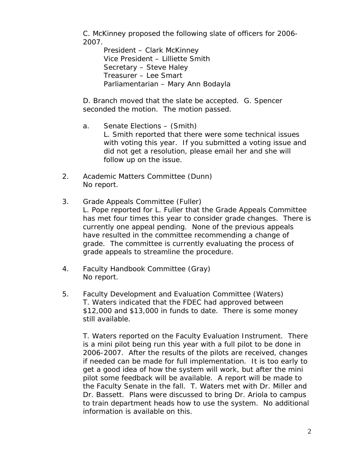C. McKinney proposed the following slate of officers for 2006- 2007.

 President – Clark McKinney Vice President – Lilliette Smith Secretary – Steve Haley Treasurer – Lee Smart Parliamentarian – Mary Ann Bodayla

D. Branch moved that the slate be accepted. G. Spencer seconded the motion. The motion passed.

- a. Senate Elections (Smith) L. Smith reported that there were some technical issues with voting this year. If you submitted a voting issue and did not get a resolution, please email her and she will follow up on the issue.
- 2. Academic Matters Committee (Dunn) No report.
- 3. Grade Appeals Committee (Fuller) L. Pope reported for L. Fuller that the Grade Appeals Committee has met four times this year to consider grade changes. There is currently one appeal pending. None of the previous appeals have resulted in the committee recommending a change of grade. The committee is currently evaluating the process of grade appeals to streamline the procedure.
- 4. Faculty Handbook Committee (Gray) No report.
- 5. Faculty Development and Evaluation Committee (Waters) T. Waters indicated that the FDEC had approved between \$12,000 and \$13,000 in funds to date. There is some money still available.

T. Waters reported on the Faculty Evaluation Instrument. There is a mini pilot being run this year with a full pilot to be done in 2006-2007. After the results of the pilots are received, changes if needed can be made for full implementation. It is too early to get a good idea of how the system will work, but after the mini pilot some feedback will be available. A report will be made to the Faculty Senate in the fall. T. Waters met with Dr. Miller and Dr. Bassett. Plans were discussed to bring Dr. Ariola to campus to train department heads how to use the system. No additional information is available on this.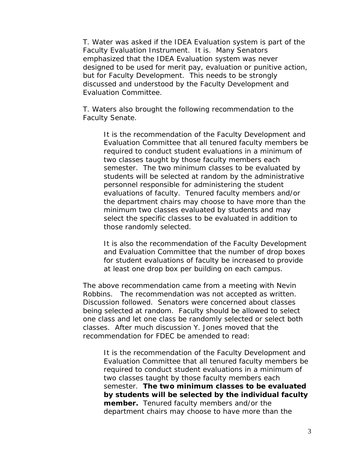T. Water was asked if the IDEA Evaluation system is part of the Faculty Evaluation Instrument. It is. Many Senators emphasized that the IDEA Evaluation system was never designed to be used for merit pay, evaluation or punitive action, but for Faculty Development. This needs to be strongly discussed and understood by the Faculty Development and Evaluation Committee.

T. Waters also brought the following recommendation to the Faculty Senate.

It is the recommendation of the Faculty Development and Evaluation Committee that all tenured faculty members be required to conduct student evaluations in a minimum of two classes taught by those faculty members each semester. The two minimum classes to be evaluated by students will be selected at random by the administrative personnel responsible for administering the student evaluations of faculty. Tenured faculty members and/or the department chairs may choose to have more than the minimum two classes evaluated by students and may select the specific classes to be evaluated in addition to those randomly selected.

It is also the recommendation of the Faculty Development and Evaluation Committee that the number of drop boxes for student evaluations of faculty be increased to provide at least one drop box per building on each campus.

The above recommendation came from a meeting with Nevin Robbins. The recommendation was not accepted as written. Discussion followed. Senators were concerned about classes being selected at random. Faculty should be allowed to select one class and let one class be randomly selected or select both classes. After much discussion Y. Jones moved that the recommendation for FDEC be amended to read:

It is the recommendation of the Faculty Development and Evaluation Committee that all tenured faculty members be required to conduct student evaluations in a minimum of two classes taught by those faculty members each semester. **The two minimum classes to be evaluated by students will be selected by the individual faculty member.** Tenured faculty members and/or the department chairs may choose to have more than the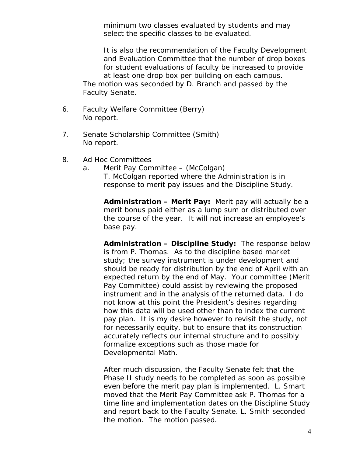minimum two classes evaluated by students and may select the specific classes to be evaluated.

It is also the recommendation of the Faculty Development and Evaluation Committee that the number of drop boxes for student evaluations of faculty be increased to provide at least one drop box per building on each campus. The motion was seconded by D. Branch and passed by the Faculty Senate.

- 6. Faculty Welfare Committee (Berry) No report.
- 7. Senate Scholarship Committee (Smith) No report.
- 8. Ad Hoc Committees
	- a. Merit Pay Committee (McColgan) T. McColgan reported where the Administration is in response to merit pay issues and the Discipline Study.

**Administration – Merit Pay:** Merit pay will actually be a merit bonus paid either as a lump sum or distributed over the course of the year. It will not increase an employee's base pay.

**Administration – Discipline Study:** The response below is from P. Thomas. As to the discipline based market study; the survey instrument is under development and should be ready for distribution by the end of April with an expected return by the end of May. Your committee (Merit Pay Committee) could assist by reviewing the proposed instrument and in the analysis of the returned data. I do not know at this point the President's desires regarding how this data will be used other than to index the current pay plan. It is my desire however to revisit the study, not for necessarily equity, but to ensure that its construction accurately reflects our internal structure and to possibly formalize exceptions such as those made for Developmental Math.

After much discussion, the Faculty Senate felt that the Phase II study needs to be completed as soon as possible even before the merit pay plan is implemented. L. Smart moved that the Merit Pay Committee ask P. Thomas for a time line and implementation dates on the Discipline Study and report back to the Faculty Senate. L. Smith seconded the motion. The motion passed.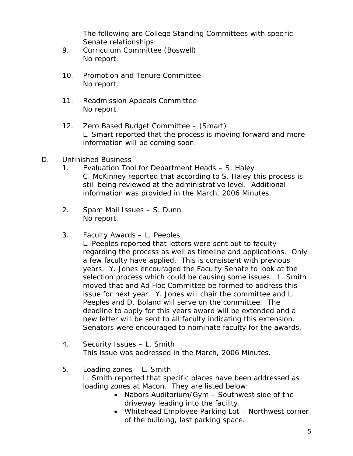The following are College Standing Committees with specific Senate relationships:

- 9. Curriculum Committee (Boswell) No report.
- 10. Promotion and Tenure Committee No report.
- 11. Readmission Appeals Committee No report.
- 12. Zero Based Budget Committee (Smart) L. Smart reported that the process is moving forward and more information will be coming soon.
- D. Unfinished Business
	- 1. Evaluation Tool for Department Heads S. Haley C. McKinney reported that according to S. Haley this process is still being reviewed at the administrative level. Additional information was provided in the March, 2006 Minutes.
	- 2. Spam Mail Issues S. Dunn No report.
	- 3. Faculty Awards L. Peeples

L. Peeples reported that letters were sent out to faculty regarding the process as well as timeline and applications. Only a few faculty have applied. This is consistent with previous years. Y. Jones encouraged the Faculty Senate to look at the selection process which could be causing some issues. L. Smith moved that and Ad Hoc Committee be formed to address this issue for next year. Y. Jones will chair the committee and L. Peeples and D. Boland will serve on the committee. The deadline to apply for this years award will be extended and a new letter will be sent to all faculty indicating this extension. Senators were encouraged to nominate faculty for the awards.

- 4. Security Issues L. Smith This issue was addressed in the March, 2006 Minutes.
- 5. Loading zones L. Smith L. Smith reported that specific places have been addressed as loading zones at Macon. They are listed below:
	- Nabors Auditorium/Gym Southwest side of the driveway leading into the facility.
	- Whitehead Employee Parking Lot Northwest corner of the building, last parking space.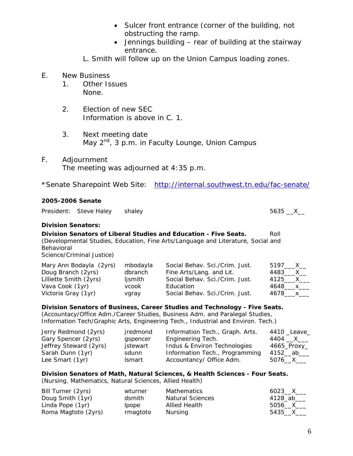- Sulcer front entrance (corner of the building, not obstructing the ramp.
- Jennings building rear of building at the stairway entrance.
- L. Smith will follow up on the Union Campus loading zones.

# E. New Business

- 1. Other Issues None.
- 2. Election of new SEC Information is above in C. 1.
- 3. Next meeting date May  $2^{nd}$ , 3 p.m. in Faculty Lounge, Union Campus

# F. Adjournment

The meeting was adjourned at 4:35 p.m.

\*Senate Sharepoint Web Site: <http://internal.southwest.tn.edu/fac-senate/>

# **2005-2006 Senate**

President: Steve Haley shaley 5635 X

## **Division Senators:**

**Division Senators of Liberal Studies and Education - Five Seats.** Roll (Developmental Studies, Education, Fine Arts/Language and Literature, Social and Behavioral

Science/Criminal Justice)

| Mary Ann Bodayla (2yrs) | mbodayla | Social Behav. Sci./Crim. Just. | 5197____X__   |
|-------------------------|----------|--------------------------------|---------------|
| Doug Branch (2yrs)      | dbranch  | Fine Arts/Lang. and Lit.       | 4483____X__   |
| Lilliette Smith (2yrs)  | ljsmith  | Social Behav. Sci./Crim. Just. | 4125____X____ |
| Vava Cook (1yr)         | vcook    | Education                      | 4648____x___  |
| Victoria Gray (1yr)     | vgray    | Social Behav. Sci./Crim. Just. | 4678___x___   |

# **Division Senators of Business, Career Studies and Technology - Five Seats.**

(Accountacy/Office Adm./Career Studies, Business Adm. and Paralegal Studies, Information Tech/Graphic Arts, Engineering Tech., Industrial and Environ. Tech.)

| Jerry Redmond (2yrs)   | jredmond | Information Tech., Graph. Arts. | 4410 Leave  |
|------------------------|----------|---------------------------------|-------------|
| Gary Spencer (2yrs)    | gspencer | Engineering Tech.               | 4404 __X___ |
| Jeffrey Steward (2yrs) | jstewart | Indus & Environ Technologies    | 4665_Proxy_ |
| Sarah Dunn (1yr)       | sdunn    | Information Tech., Programming  | 4152__ab___ |
| Lee Smart (1yr)        | Ismart   | Accountancy/ Office Adm.        | 5076__X___  |

### **Division Senators of Math, Natural Sciences, & Health Sciences - Four Seats.**  (Nursing, Mathematics, Natural Sciences, Allied Health)

| Bill Turner (2yrs)  | wturner  | Mathematics             | 6023 X     |
|---------------------|----------|-------------------------|------------|
| Doug Smith (1yr)    | dsmith   | <b>Natural Sciences</b> | 4128_ab___ |
| Linda Pope (1yr)    | lpope    | Allied Health           | 5056 $X$   |
| Roma Magtoto (2yrs) | rmagtoto | Nursing                 | 5435 X     |